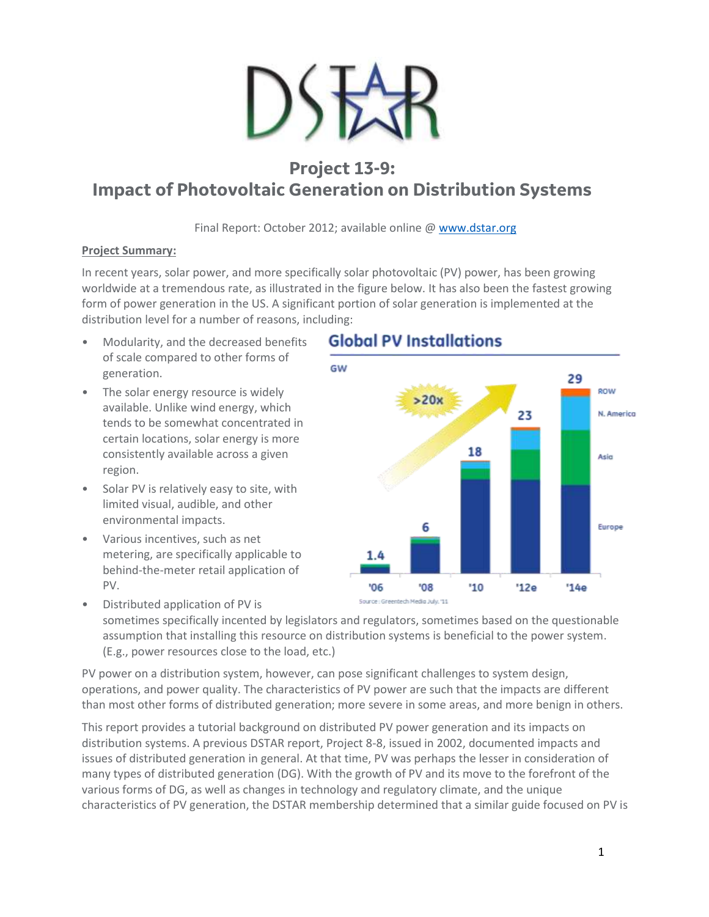

# **Project 13-9: Impact of Photovoltaic Generation on Distribution Systems**

Final Report: October 2012; available online @ [www.dstar.org](http://www.dstar.org/research/project/93/P13-9-impact-of-photovoltaic-generation-on-distribution-systems)

#### **Project Summary:**

In recent years, solar power, and more specifically solar photovoltaic (PV) power, has been growing worldwide at a tremendous rate, as illustrated in the figure below. It has also been the fastest growing form of power generation in the US. A significant portion of solar generation is implemented at the distribution level for a number of reasons, including:

- Modularity, and the decreased benefits of scale compared to other forms of generation.
- The solar energy resource is widely available. Unlike wind energy, which tends to be somewhat concentrated in certain locations, solar energy is more consistently available across a given region.
- Solar PV is relatively easy to site, with limited visual, audible, and other environmental impacts.
- Various incentives, such as net metering, are specifically applicable to behind-the-meter retail application of PV.

## **Global PV Installations**



• Distributed application of PV is sometimes specifically incented by legislators and regulators, sometimes based on the questionable assumption that installing this resource on distribution systems is beneficial to the power system. (E.g., power resources close to the load, etc.)

PV power on a distribution system, however, can pose significant challenges to system design, operations, and power quality. The characteristics of PV power are such that the impacts are different than most other forms of distributed generation; more severe in some areas, and more benign in others.

This report provides a tutorial background on distributed PV power generation and its impacts on distribution systems. A previous DSTAR report, Project 8-8, issued in 2002, documented impacts and issues of distributed generation in general. At that time, PV was perhaps the lesser in consideration of many types of distributed generation (DG). With the growth of PV and its move to the forefront of the various forms of DG, as well as changes in technology and regulatory climate, and the unique characteristics of PV generation, the DSTAR membership determined that a similar guide focused on PV is